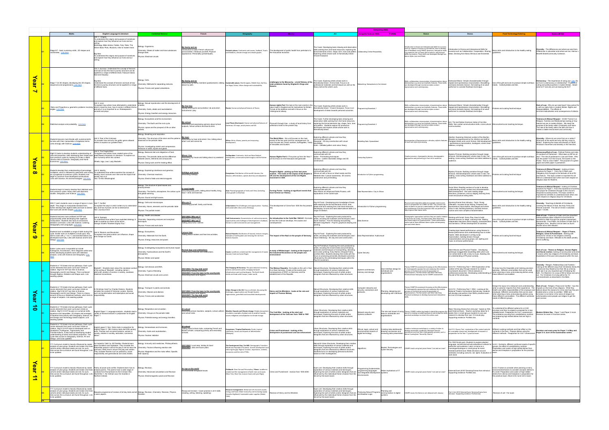|                                                     |                                                                                                                                                                                                                                                                                                                                                                                                                                                                                         |                                                                                                                                                                                                                                                                                                                                 |                                                                                                                                                                                                                        |                                                                                                                                                      |                                                                                                                                                                                                                             |                                                                                                                                                                                                                                         |                                                                                                                                                                                                                                                                                                                                                                                                            |                                                                               | <b>Computing (KS3)</b>                                                            |                                                                                                                                                                                                                                                                                                                                             |                                                                                                                                                                                                                                                                                                                                                                                                                                                                                                          |                                                                                                                                                                                                                                                                                                    |                                                                                                                                                                                                                                                                                                                                                                                                    |
|-----------------------------------------------------|-----------------------------------------------------------------------------------------------------------------------------------------------------------------------------------------------------------------------------------------------------------------------------------------------------------------------------------------------------------------------------------------------------------------------------------------------------------------------------------------|---------------------------------------------------------------------------------------------------------------------------------------------------------------------------------------------------------------------------------------------------------------------------------------------------------------------------------|------------------------------------------------------------------------------------------------------------------------------------------------------------------------------------------------------------------------|------------------------------------------------------------------------------------------------------------------------------------------------------|-----------------------------------------------------------------------------------------------------------------------------------------------------------------------------------------------------------------------------|-----------------------------------------------------------------------------------------------------------------------------------------------------------------------------------------------------------------------------------------|------------------------------------------------------------------------------------------------------------------------------------------------------------------------------------------------------------------------------------------------------------------------------------------------------------------------------------------------------------------------------------------------------------|-------------------------------------------------------------------------------|-----------------------------------------------------------------------------------|---------------------------------------------------------------------------------------------------------------------------------------------------------------------------------------------------------------------------------------------------------------------------------------------------------------------------------------------|----------------------------------------------------------------------------------------------------------------------------------------------------------------------------------------------------------------------------------------------------------------------------------------------------------------------------------------------------------------------------------------------------------------------------------------------------------------------------------------------------------|----------------------------------------------------------------------------------------------------------------------------------------------------------------------------------------------------------------------------------------------------------------------------------------------------|----------------------------------------------------------------------------------------------------------------------------------------------------------------------------------------------------------------------------------------------------------------------------------------------------------------------------------------------------------------------------------------------------|
|                                                     | Maths                                                                                                                                                                                                                                                                                                                                                                                                                                                                                   | English Language & Literature<br>Unit 1 - Origins                                                                                                                                                                                                                                                                               | <b>Combined Science</b>                                                                                                                                                                                                | French                                                                                                                                               | Geography                                                                                                                                                                                                                   |                                                                                                                                                                                                                                         | Art                                                                                                                                                                                                                                                                                                                                                                                                        | <b>Computer Science (KS4)</b>                                                 | IT (KS4)                                                                          | Dance                                                                                                                                                                                                                                                                                                                                       | Drama                                                                                                                                                                                                                                                                                                                                                                                                                                                                                                    | <b>Food Technology/Catering</b>                                                                                                                                                                                                                                                                    | <b>Modern Britair</b>                                                                                                                                                                                                                                                                                                                                                                              |
| <mark>a</mark><br><u>هر</u><br>$\blacktriangleleft$ | Stage 6/7 - basic numeracy skills, 2D shapes and<br>coordinates. Link Here                                                                                                                                                                                                                                                                                                                                                                                                              | o understand the origins and purpose of narratives<br>ind explore how they influence our lives and our<br>Mythology, Bible stories, Fables, Fairy Tales, The<br>Seven Basic Plots, Allusions, links to modern texts<br>To understand the origins and purpose of narratives<br>and explore how they influence our lives and our  | iology: Organisms<br>Chemistry: States of matter and how substances<br>change state.<br>vsics: Electrical circuits                                                                                                     | My family and me<br>troduction to basic French culture and<br>ronunciation. Introduce yourself, Physical<br>ppearance, Personality (present/past).   | and Maldives, climate change and climate graphs.                                                                                                                                                                            | tastic places: Continents and oceans, Svalbard, Tuvalu The development of public health from prehistoric to<br>the Induustrial revolution                                                                                               | he Coast. Developing basic drawing and observatio<br>skills working from 2nd hand resources, exploring the<br>ormal elements of line, shape, form, tone and pattern. Collaborating Online Respectfully<br>Exploring artists whose work is thematically linked -<br>incent Scarpace.                                                                                                                        |                                                                               |                                                                                   | oduction to Dance and interpersonal skills for succes<br>such as: aspects of space e.g formations, how to develop<br>use of feedback using CRESS, dynamics, interpretive skills<br>e.g projection, the six basic dance actions, and physical<br>skills e.g stamina. These skills are developed through two<br>dance styles Jazz and Street. | Introduction to Drama and Interpersonal Skills for<br>Introduction to Drama and Interpersonal Skills for<br>success such as Collaboration, Cooperation, Sharing<br>ideas Devicing from Bacis Stimulus and Encombine guidelines<br>ideas, Devising from Basic Stimulus and Ensemble                                                                                                                                                                                                                       |                                                                                                                                                                                                                                                                                                    | Diversity - The differences and where we see them.<br>Differences in education and where we live; Harrow v<br>Benefit Street/Community Cohesion.                                                                                                                                                                                                                                                   |
|                                                     | Stage 7 C2 2D shapes, developing into 3D shapes,<br>equences and progressions. Link Here                                                                                                                                                                                                                                                                                                                                                                                                | Unit 2 Journeys: Understand the concept of heroisr<br>and look at how the hero's journey structure can be<br>applied to a range of different texts. Treasure Island,<br>Iliad and Odyssey<br>Understand the concept of heroism and look at how<br>the hero's journey structure can be applied to a range<br>of different texts. | ology: Cells.<br>mistry: Methods for senarating mixtures.<br>hysics: Forces and speed calculations                                                                                                                     | My family and me<br>Describing my family members (past/present), talking Sustainable places: World regions, Middle East, Aral Sea,<br>about my pets. | as Vegas, Dubai, Urban change and sustainability                                                                                                                                                                            | challenges to the Monarchy - a brief History of the $\vert$<br>main problems faced by England's Kings and                                                                                                                               | The Coast. Exploring artists whose work is<br>thematically linked - Amiria Gale. Focus is on<br>professional materials and techniques as well as the<br>heory behind the artist's work.                                                                                                                                                                                                                    | etworking: Semaphores to the Internet                                         |                                                                                   | are developed through two dance styles contact<br>provisation and contemporary.                                                                                                                                                                                                                                                             | Skills: collaboration, improvisation, characterisation, dance   Darkwood Manor: Simple characterisation through<br>relationships e.g canon and stylisitic features. These skills repaed and spontaneous improvisation. Storytelling<br>and basic dramatic tension. Hot-seating of an adult<br>performer to consider flashback technique.                                                                                                                                                                 | meals. Carbohydrates and fats                                                                                                                                                                                                                                                                      | ocracy - The importance of using your vote. Do<br>Use of the grill and oven to produce simple nutritious we live in a democracy or dictatorship? Purpose of<br>voting and political parties in modern Britain. Brexit<br>what is it? and why are we leaving the EU?                                                                                                                                |
|                                                     | angles. Link Here                                                                                                                                                                                                                                                                                                                                                                                                                                                                       | Unit 3: Love<br>To explore how writers have attempted to understand a foetus<br>Ratio and Proportion w, geometric problems involving what is meant by love, how it comes in different forms,<br>and why it is so important to us. Shakespeare's<br>sonnets and plays.                                                           | liology: Sexual reproduction and the development o<br>Chemistry: Acids, alkalis and neutralisation<br>hysics: Energy transfers and energy resources                                                                    | My free time<br>Saying what sports and activities I do and which<br>instruments I play                                                               | Russia: Human and physical features of Russia                                                                                                                                                                               | Human rights Part 1-to look at the main events in the The Coast. Exploring artists whose work is<br>slave trade in England and its implications for Britain.<br>To look at the abolition and with a focus on the<br>Jnderground railway | thematically linked - Vincent Scarpace. Focus is on<br>development of ideas towards personal outcomes                                                                                                                                                                                                                                                                                                      | rogramming Essentials 1                                                       |                                                                                   | Skills: collaboration, improvisation, characterisation, dance   Darkwood Manor: Simple characterisation through<br>relationships e.g canon and stylisitic features. These skills repaed and spontaneous improvisation. Storytellir<br>are developed through two dance styles contact<br>provisation and contemporary.                       | and basic dramatic tension. Hot-seating of an adult<br>erformer to consider flashback technique.                                                                                                                                                                                                                                                                                                                                                                                                         | oteins and coating food technique                                                                                                                                                                                                                                                                  | Rule of Law - Why do we need laws? How justice fits<br>in with our daily lives in modern Britain. Rights and<br>Responsibilities. The affects of<br>terrorism/radicalisation and consequences of attacks                                                                                                                                                                                           |
|                                                     | Statistical analysis and probability. Link here                                                                                                                                                                                                                                                                                                                                                                                                                                         |                                                                                                                                                                                                                                                                                                                                 | liology: Ecosystems and the environment.<br>Chemistry: The Earth and the rock cycle.<br>Physics: space and the prospect of life on other                                                                               | Describing and expressing opinions about school<br>ubjects, school uniform and food & drink.                                                         | I Places (Dartmoor): Human and physical features of<br>rtmoor, OS maps, aerial photos and GIS                                                                                                                               | Plymouth through time - a study of local history from<br>rehistoric times to the present day                                                                                                                                            | he Coast. Further developing basic drawing and<br>bservation skills working from 2nd hand resources<br>exploring the formal elements line, shape, form, tone<br>and pattern. Students explore 3D production<br>echniques and explore artists whose work is<br>ematically linked.                                                                                                                           | rogramming Essentials 2                                                       |                                                                                   | Skills: collaboration, improvisation, characterisation, dance<br>are developed through two dance styles contact<br>visation and contemporary                                                                                                                                                                                                | Skills: collaboration, improvisation, characterisation, dance lashi: The last Native American Indian of his tribe.<br>relationships e.g. canon and stylistic features. These skills listills: Non-verbal communication skills, cr                                                                                                                                                                                                                                                                        |                                                                                                                                                                                                                                                                                                    | Tolerance & Mutual Respect - GCSE Theme A on<br>Religion, Families and Relationships looking at how<br>olerant we are in modern Britain. We study the<br>purpose of the family within Christianity and Islam<br>The role of the family within the faith and how it<br>nakes a stable environment and community.                                                                                    |
| ≺<br><b>ear</b>                                     | Students become more literate with numerical skills<br>but also with their manipulation of algebraic terms.<br>Links strongly with Science. Link Here                                                                                                                                                                                                                                                                                                                                   | Jnit 4: Fear of the Unknown<br>To consider how and why the gothic genre allowed<br>riters to explore our greatest fears.                                                                                                                                                                                                        | liology: Breathing and respiration.<br>hemistry: The structure of the atom and the patterns<br>observed on the periodic table.<br>Physics: Investigating stretch and compression<br>sure in solids, liquids and gases. | Describing my town and where I live, talking about<br>what I can and cannot do                                                                       | Africa: Africa, Ghana, poverty and measuring                                                                                                                                                                                | The World Wars - this unit focuses on the main<br>events of the two wars and the consequences. Its<br>nain focuses are Trench warfare, Suffragettes, Treaty<br>of Versailles and Dunkirk                                                | ploring different cultures and how they<br>municate with Art.<br>Aborginal - 3D clay construction with visual<br>storytelling.<br>Aztec - Detailed pattern and colour theory.                                                                                                                                                                                                                              | Modelling Data: Spreadshee<br>of each sub style e.g krumping                  |                                                                                   | Emancipation of Expressionism: stimulus, stylistic features                                                                                                                                                                                                                                                                                 | Aberfan: Exploring Historical context of the Aberfa<br>Disaster as experienced by the children and staff at<br>Disaster as experienced by the children and staff at<br>Pantiglas Infants and Junior School, Skill development<br>Pantiglas Infants and Junior School (Space International Space International Space International Space Internation<br>- spontaneous improvisation, duologues, whole class<br>bleaux, scripting.                                                                         |                                                                                                                                                                                                                                                                                                    | Diversity - Where do we come from as a nation?<br>What part of the world and why did they come to<br>Britain. Exploring the issue and diversity of 'BLM',<br>Windrush movement and diversity in the trenches.                                                                                                                                                                                      |
|                                                     | Stg8 C2 looks to develop students understanding of<br>ratio and proportion, later developing their shape work great flawed characters in Literature. To explore our<br>from previous cycles by looking at Circles in depth.<br>Obvious links to Science, Geography and Home<br>Economics. Link Here                                                                                                                                                                                     | Unit 5: The Fragile Mind<br>To explore how writers have created some of the<br>lown humanity within this context.<br>Othello, Iago, Lear, Lady Macbeth.                                                                                                                                                                         | iology: Balanced diet and didgestion of food.<br>Chemistry: The periodic table and the difference<br>stween atoms, elements and compounds<br>hysics: Doing work and the heating effect.                                | Describing my house and talking about my weekend                                                                                                     | rthquakes: Continents, Haiti and New Zealand<br>earthquakes, conservative plate margins and the Richter                                                                                                                     | Human Rights Part 2 - This picks up from the Year 7<br>unit but focus on the Holocaust and genocide                                                                                                                                     | Exploring different cultures and how they<br>mmunicate with Art.<br>Indian - Printmaking techniques.<br>Chinese - Lantern illustration design and 3D                                                                                                                                                                                                                                                       | Computing Systems                                                             |                                                                                   | reative process: choregraphic devices, choreographic<br>approaches and performing in front of an audience.                                                                                                                                                                                                                                  | ystery Pictures: Building narrative through image<br>seating, cross-cutting, flashback and direct address to meals. Carbohydrates and fats<br>lience                                                                                                                                                                                                                                                                                                                                                     | stimulus. Skill development: whole class in-role, hot- Use of the grill and oven to produce simple nutritious day? The role of parliament in Law and Order. Who                                                                                                                                    | nocracy/Rule of Law - Political Parties and role<br>f members of Parliament - What does an MP do all<br>has the power? Is it the Church, the Queen or the<br>Police. How is a law made? The purpose of a green<br>paper and white paper in parliament.                                                                                                                                             |
| $\infty$                                            | Students develop their understanding of percentage Unit 6: Identity<br>multipliers, which is followed by geomertic work acting To understand how writers examine the concept of<br>as a progession to previous cycles. Students now<br>eain to construct more developed constructions.<br>Links with Science, Art and technologies. Link here                                                                                                                                           | identity, how it evolves over time and the impact that<br>society has on it.<br>Text: To Kill a Mockingbird                                                                                                                                                                                                                     | iology: Explaining inheritance and genetics.<br>Chemistry: Chemical reactions.<br>hysics: Electric fields and electromagnets                                                                                           | <b>Holidavs and trave</b><br>Jescribing holidays.                                                                                                    | systems: Distribution of the world's biomes, the<br>azon, deforestation, species diversity and adaptation                                                                                                                   | People's Rights - picking up from last years<br>module . This looks at the impact of the Empire in   African art with a focus on tribal masks and the<br>UK and the development of the Civi Rights<br>vement in USA                     | coloring different cultures and how they<br>municate with Art.<br>Ndebele tribe. Cultural awareness, 3D ceramic<br>onstruction and printmaking.                                                                                                                                                                                                                                                            | troduction to Python programming                                              |                                                                                   |                                                                                                                                                                                                                                                                                                                                             | Mystery Pictures: Building narrative through image<br>stimulus. Skill development: whole class in-role, hot-<br>seating, cross-cutting, flashback and direct address to                                                                                                                                                                                                                                                                                                                                  | Proteins and coating food technique                                                                                                                                                                                                                                                                | Tolerance & Mutual Respect - looking at Islam<br>practices for Paper 1. From the 5 Pillars and<br>Oblinatory Acts through to the festivals of Id-ul-Eitr<br>and Ashura. This topic content is important for all<br>faiths to understand each other and mark respect on<br>eligious days for Muslims.                                                                                               |
|                                                     | Students begin to heavily develop their statistcal work<br>from previous cycles. Heavy links with Business<br>studies, Geography and Science. Link Here                                                                                                                                                                                                                                                                                                                                 |                                                                                                                                                                                                                                                                                                                                 | Biology: The structure of plant leaves and<br>ohotosynthesis<br>Chemistry: The Earths, atmosphere, the carbon cycle<br>and global warming.<br>hysics: Sound and light waves.                                           | n good health<br>Describing body parts, talking about healthy living,<br>food + drink and exercise.                                                  | Asia: Physical geography of India and China (including<br>rban growth in Mumbail                                                                                                                                            | Turning Points - looking at signifcant events that<br>have formed our History                                                                                                                                                           | ploring different cultures and how they<br>mmunicate with Art.<br>How African art influenced Pablo Picasso, with<br>xplorations in the Cubist style                                                                                                                                                                                                                                                        | Data Representation: Clay to Silicon                                          |                                                                                   |                                                                                                                                                                                                                                                                                                                                             | Script Work: Reading sections of script to develo<br>understanding of plot, context and characterisation.<br>Skill Development - text work reading stage<br>directions, proxemics, end on staging, learning lines,<br>vocal and physical acting skills                                                                                                                                                                                                                                                   | onutrients and mashing technique                                                                                                                                                                                                                                                                   | Tolerance & Mutual Respect - looking at Christian<br>practices for Paper 1. From the importance of worship<br>and prayer for Christians through to the church's<br>response to world proverty. This topic content is<br>important for all faiths to understand each other and<br>nark respect on religious days for Christians.                                                                    |
| <b>Year</b><br>$\bullet$                            | St9 C1 see's students cover a range of topics in more Unit 7: Conflict<br>depth. They begin to manipulate standard form,<br>further develop their algebra skills and look to extend why and how humans can be so destructive.<br>their work with 2D/3D shapes. Link here                                                                                                                                                                                                                | To explore the ways in which writers try to understand<br>Text: Journey's End                                                                                                                                                                                                                                                   | ology: Cells and microscopes<br>Chemistry: Atoms, elements and the perioidic table<br>Physics: The particle model                                                                                                      | Who am I?<br>scribing yourself, family and friends.                                                                                                  | and sustainable urban areas (Frieburg)                                                                                                                                                                                      | rbanisation: Rio (Challenges and opportunities - Favelas), The development of Crime from 1000 the the present                                                                                                                           | op Art Food - Developing prior knowledge of basic<br>skills exploring the formal elements of line, tone,<br>shape and form working from 2nd hand resources.<br>Developing 1st and 2nd hand observational skills in a<br>ange of medium                                                                                                                                                                     | oduction to Python programming                                                |                                                                                   | Physical and interpretive skills for example stamina and<br>focus in preparation for COMP2 at KS4. This process will<br>allow students to gain an understanding of thier strengths<br>and weaknesses and what exercises that can perform to<br>help improve thier dance skills.                                                             | Devising Drama from stimulus - Topic: Young<br>Offenders. Includes Script Writing, Prepared and<br>intaneous Improvisation, Monologue and whole<br>class In-role. Building backstory, dramatic tension,<br>ance and more complex characterisation.                                                                                                                                                                                                                                                       | sasic skills and introduction to the healthy eating                                                                                                                                                                                                                                                | Diversity - Teachings & Beliefs of Christianity<br>covering the Nature of God, the Holy Trinity and<br>leaven and Hell. The role of Christ in salvation<br>Paper 1 GCSE.                                                                                                                                                                                                                           |
|                                                     | Students become more proficient at FDP and<br>proportionality whilst developing their algebraic<br>manipulation. Students also look at conversions<br>between currencies. Links with Science, Catering,<br>Geopgraphy and Languages. <mark>Link Here</mark>                                                                                                                                                                                                                             | Init 8: Dystopia<br>o understand how writers have exploited ideology ir<br>order to explore our fears of the future.<br>leorge Orwell's 'Nineteen Eighty-Four.                                                                                                                                                                  | <b>Biology: Health and disease</b><br>Chemistry: Separating mixtures and analytical<br>hysics: Forces and work done                                                                                                    | 2021/2022: Who am I?<br>escribing relationship<br>2022/2023: Who am 12<br>alking about who I ad                                                      | opportunities and challenges of development in Svalbard, at how the Cold war develops, the causes and<br>threats to cold environments and management.                                                                       | Cold Environments: Characteristics of cold environments, An introduction to the Cold War 1943-61- this looks artists, including the materials and techniques used<br><b>ISPOURDCAS</b>                                                  | Pop Art Food - Exploring the work produced by<br>Sarah Graham - Fine Art drawing and painting,<br>Michael Craig-Martin - Pop Art, graphical drawing and<br>painting                                                                                                                                                                                                                                        | Data Science<br>jazz and street dance                                         |                                                                                   | oregraphic approaches and how they are used in relatio<br>to the three set works. The Nutcracker, West Side Story,<br>Emanicaption of Expressionism. These professions<br>works look at three different dance styles contemporary                                                                                                           | ing with Script: Scary Play. How to build<br>dramatic tension on stage, Learning lines. Making<br>independent decisions about staging, characterisatio<br>nd semiotics. Off-text development of narrative.                                                                                                                                                                                                                                                                                               | Use of the grill and oven to produce simple nutritious<br>eals. Carbohydrates and fats                                                                                                                                                                                                             | Rule of Law - Practices of Islam and how important<br>hese practices allow a Muslim to live the life as<br>directed by Allah through the prophet (messenger)<br>Muhammad. Five Pillars, Six Articles of Faith and 1<br>Obligatory Acts. Muslims can be seen as Sunni<br>Muslim and a Shi'a Muslim.                                                                                                 |
|                                                     | Students look to establish a range of skills during this<br>cycle. Earlier work on multipliers is built upon, they<br>start to work with $y = mx + c$ and transformations are<br>developed more fully. Links with Science and Art and<br>Design. Link here                                                                                                                                                                                                                              | Unit 9: Rhetoric and Revolution<br>To explore how great orators can influence, shape<br>and change our world.                                                                                                                                                                                                                   | ology: Ecosystems,<br>Chemistry: Materials from the Earth,<br>hysics: Energy resources and power.                                                                                                                      | alking about hobbies and free time activities.                                                                                                       | cural Hazards: Distribution of hazards, tectonic margins,<br>examples of earthquakes and reducing the risk from<br>ctonic hazards.                                                                                          | The impact of the Nazi on the people of Germany                                                                                                                                                                                         | op Art Food - Exploring the work produced by<br>artists, including the materials and techniques used -<br>Claus Oldenburg - 3D clay and card construction.                                                                                                                                                                                                                                                 | Data Representation: Audiovisual                                              |                                                                                   |                                                                                                                                                                                                                                                                                                                                             | Creating topic based performance: using themes to<br>devise performance and understanding how to make<br>theatre. Skills developed in writing script.<br>improvisation, building tension through<br>characterisation and using props, set, lighting and<br>music to enhance performance.                                                                                                                                                                                                                 | steins and coating food technique                                                                                                                                                                                                                                                                  | Tolerance & Mutual Respect - Paper 2 Theme,<br>Religion, Crime & Punishment. Starting with<br>easons for crimes in two religions covering<br>Christianity and Islam. Attitudes to the death penalty<br>and to suffering.                                                                                                                                                                           |
|                                                     | Earlier cycles work is expanded to include<br>Pythagoras, Arcs/Sectors, Venn Diagrams whilst also<br>further developing students work with statisitcal<br>analysis. Links with Science and Geography. L                                                                                                                                                                                                                                                                                 |                                                                                                                                                                                                                                                                                                                                 | liology: Investigating ecosystems and human impac<br>Chemistry: Hydrocarbons and the Earth's<br>atmosphere.<br><sup>2</sup> hysics: Motion and speed                                                                   | Normal days and celebrations<br>Talking about festivals and celebrations                                                                             | Coasts: Landforms created and the management of coasts<br>urassic Coast and Lyme Regis)                                                                                                                                     | A study of Whitechapel - looking at the impact of<br>the Industrial Revolution on the people and                                                                                                                                        | op Art Portraiture. Exploring the work produced by<br>artists, including the mixed media and printmaking<br>materials and techniques of monoprinting, stenciling<br>and screen pritning- Andy Warhol, Shepard Fairer<br>and Ben Allen. Students develop their skills with the<br>focus on producing personally developed outcomes<br>nfluenced by the printmaking techniques within the<br>op Art movement | Cyber Security                                                                |                                                                                   |                                                                                                                                                                                                                                                                                                                                             | Silent Movies and Physical Theatre: . Developing<br>grotesque exaggerated storytelling skills which use<br>non-verbal skills to tell a story to music. Building into<br>an understanding of Physical comedy                                                                                                                                                                                                                                                                                              | Micronutrients and mashing technique                                                                                                                                                                                                                                                               | Rule of Law - Theme on Religion, Human Rights<br>and Social Justice; looking at social justice and what<br>it means within two religions of Christianity and Islam.<br>ploitation of the poor and prejudice within the race                                                                                                                                                                        |
| $\leq$<br>۹Ë<br>$\rightarrow$<br>$\bullet$          | Students in Y10 break into two pathways. Each cycle<br>covers elements from each curriculum strata on<br>rotation. Stg10 S1 H/F has links to Science.<br>Geoography and Art and Design. This is achieved<br>through Algebra, Statisitcs and Shape work. Link<br>awaiting update.                                                                                                                                                                                                        | Aacbeth' - Students learn about the Jacobean context<br>of the writing of 'Macbeth', including James I.<br>witchcraft, position of women in society, Jacobean<br>eatrical conventions                                                                                                                                           | <b>Biology: Cell division and DNA,</b><br>Chemistry: Types of Bonding<br>hysics: Electrical circuits and current                                                                                                       | 2021/2022: The big wide world<br>2022/2023: From the town to the countryside<br>scribing towns and region:                                           | The Changing UK Economy: The post-industrial economy<br>science and business parks, changing transport<br>astructure and rural landscapes. The North South<br>vide and trade with Europe / wider world                      | The Weimar Republic- this builds on the unit in Year  Natural Structures. Developing their creative skills<br>9 on Nazi Germany. It looks at the events and<br>consequences of WW1 on Germany and the<br>blishment of the Republic      | through exploration of various materials and<br>echniques. Exploring the work of artists and/or<br>signers that are influenced by urban structures                                                                                                                                                                                                                                                         | stems architecture.<br>nemory and storage                                     | User Interface design for<br>individuals and<br>vrganisations                     | cess in the three set works Emancipation of<br>sionism, The Nutcracker and West Side Story.<br>Practical learn Hairspray rep for COMP2 assessment                                                                                                                                                                                           | eory COMP1B coursework focusing on the effectiveness Unit 212 - Performing Text 1: DNA Exploration of the<br>choreographic appraoches and analysing the creative strategies of the play through research to create a<br>Coursework document. Critical analysis on<br>one was a consumer the state of the state of the planning a menu and producing dishes using<br>professional production. Developing understaniding of when planning a menu and producing dishes using<br>the plot of the whole play. | To know how the Hospitality and Catering provision<br>operates. Different commodities that can be used                                                                                                                                                                                             | versity - Religion, Relationships and Families<br>poking at the different ways that Christianity family life<br>s lived and how Muslims live their life as a family.<br>Both see it as very important part of following the<br>faith. For Muslims it is a way of life to follow and carry<br>out. For Christians it is living within the 10<br>mmandments as described in the Bible.               |
|                                                     | Students in Y10 break into two pathways. Each cycl<br>covers elements from each curriculum strata on<br>rotation. Stg10 S2 H/F has links to Science,<br>Geoography and Art and Design. There is a heavy<br>amount of focus on Statistical methods, which links to Tresponsibility.<br>a range of subjects. Link awaiting update.                                                                                                                                                        | A Christmas Carol' by Charles Dickens, Students<br>consider the context of Victorian London, themes<br>such as transformation and redemption and social                                                                                                                                                                         | iology: Transport in plants and animals.<br>hemistry: Alkanes and alkenes<br>hysics: Forces and acceleration                                                                                                           | 2021/2022: From the town to the countryside<br>2022/2023: The big wide world<br>escribing holidays and travel                                        | van Change in the UK: Focus on Bristol, discussing the<br>hallenges, opportunities and Temple Quarter<br>regeneration, greenfield and brownfield developments                                                               | Henry and his Ministers - looks at the role and<br>impact of Thomas Wolsey                                                                                                                                                              | latural Structures. Developing their creative skills<br>hrough exploration of various materials and<br>echniques. Exploring the work of artists and/or<br>esigners that are influenced by urban structures                                                                                                                                                                                                 | omputer networks and<br>security, connections and<br>rotocols.                | lanning, designing and<br>veloping user interface                                 | eory COMP1B coursework focusing on the effectivener<br>essionism. The Nutcracker and West Side Story.<br>ectical workshops to develop physical and interpretive                                                                                                                                                                             | choreographic approaches and analysing the creative<br>Unit 212 - Performing Text 1: DNA - Looking at the<br>National Theatre Connections festival play, students<br>National Theatre Connections festival play, students<br>will develop and perform their REAL practical exam<br>for Unit 212 then evaluate it.                                                                                                                                                                                        | what a customer requires from their experience. The impacts on the lives of two religions. What they<br>employee. Different commodities that can be used<br>when planning a menu and producing dishes using<br>these different commodities. The different nutritional<br>needs of different groups | Jesign the layout of a restaurant and understanding   Rule of Law - Religion, Peace and Conflict - how this<br>Health and safety responsibilities of the employer and believe about the reasons for crime and how they are<br>treated when a crime is comitted. WMD and<br>terrosism is not done in the name of religion but<br>unfortunately some people use religion to get the<br>point across. |
|                                                     | Students in Y10 break into two pathways. Each cycl<br>covers elements from each curriculum strata on<br>rotation. Stg10 C3 H/F focuses on numerical skills.<br>equations and inequalties, 3D shapes and averages.<br>It therefore links heavily with Geography, Science, Art Paper 1.<br>and Design and Technology based subjects. Link<br>awaiting update                                                                                                                              | English Paper 1: Language analysis - students read a<br>variety of fictional extracts in preparation for English                                                                                                                                                                                                                | ology: Respiration and circulation<br>Chemistry: Groups on the periodic table<br>hysics: Potential energy and energy transfers.                                                                                        | and school rules.                                                                                                                                    | Describing school, teachers, subjects, school uniform   Weather Hazards and Climate change: Global atmospheric<br>culation, examples of global and uk weather hazards,<br>uses mitigation and adaptation to climate change. | The Cold War - looking at the start and<br>devlopment of the Cold war from 1949 to 1991                                                                                                                                                 | Irban Structures. Developing their creative skills<br>rough exploration of various materials and<br>echniques. Exploring the work of artists and/or<br>signers that are influenced by urban structures                                                                                                                                                                                                     | etwork security and<br>Systems software                                       | data on individuals and<br>inisations                                             | dancer is making considering physical and interpetive skills, weeks then in small groups students to use own<br>practical workshops to inform the written work                                                                                                                                                                              | Mock 'Devising Drama from stimulus': 'based on RSI<br>The role and impact of using Theory: COMP2 written log books to detail the progress the past External Exam. Teacher workshop ideas for 2<br>research to develop their own 10 minute play.<br>Supporting evidence: Portfolio doc                                                                                                                                                                                                                    | o understand the different options for a H &C<br>provision and then to prepare a proposal for a new<br>sttablishment. Preapartion for Unit 1 assessment.<br>The problems occuring from unsatisfactory putrition<br>and preparing high skilled dishes that are high in                              | Modern Britain Day - Paper 1 and Paper 2 mock.<br>Revision for exam in Summer series                                                                                                                                                                                                                                                                                                               |
|                                                     | Students in Y10 break into two pathways. Each cycle<br>covers elements from each curriculum strata on<br>rotation. Stg10 C4 H/F looks at developed work on<br>Quadratics, Pytahgoras, Trigonometry and<br>Transformations. It also looks at developing student<br>understanding of direct and indirect proportion. The<br>Cycle links across to Geography, Science, Art and<br>Design. Link to be updated.                                                                              | English paper 2: Non- fiction texts in prepartion for<br>English Paper 2: 19th Century texts and 20th century<br>texts. Themes such as penal systems, women in<br>society, children in society, education, commerce,                                                                                                            | Biology: Homeostasis and hormones<br>Chemistry: Acids and neutralisation<br>hysics: Nuclear radiation                                                                                                                  | <b>It school</b><br>alking about school clubs; comparing French and<br>British schools; comparing primary and secondary                              | stems / Tropical Rainforests: Ponds, tropical<br>ainforests, causes and impacts of deforestation<br>falavsia).                                                                                                              | Crime and Punishment - looking at the<br>lopment of punishment and law enforcemer                                                                                                                                                       | rban Structures. Developing their creative skills<br>hrough exploration of various materials and<br>chniques. Exploring the work of artists and/or<br>signers that are influenced by urban structures                                                                                                                                                                                                      | Ethical, legal, cultural and<br>nvironmental impacts of<br>digital technology | Creating data dashboards,<br>drawing conclusions and<br>viewing data presentation | ative: technique workshops in a variety of styles to<br>levelop movement vocabulary. Research famous<br>actitioner and trial thier choreographic process, such a<br>Merce Cunningham "Dance By Chance'                                                                                                                                      | Unit 212: Classic Text - exploration of the context and plot  Different cooking methods and their effect on the<br>of a complete classic text, development of research in<br>eparation for the Year 11 practical exam.                                                                                                                                                                                                                                                                                   | nutrients in the food. Prepare dishes using the<br>ifferent methods. Preapartion for Unit 1 assessme                                                                                                                                                                                               | Revision and exam prep for Paper 1 in May and<br>Paper 2 in June of the examination series.                                                                                                                                                                                                                                                                                                        |
| Year<br>$\mathbf{r}$                                | Y11 Curriculum model is heavily influenced by needs<br>The Curriculum model is heavily influenced by needs<br>analysis of year group. Students are broken into three<br>chindre where individual needs are met As such<br>cohorts where individual needs are met As such<br>cohorts where individ<br>cohorts where individual needs are met. As such,<br>links across the curriculum are found throughout. Link   post-war (1945) time in whuch the play was written.<br>to be updated. | n Inspector Calls' by JB Priestley, Students learn<br>esponsibility and generational and class divides.                                                                                                                                                                                                                         | iology: Immunity and medicines. Photosynthesis.<br>nistry: Factors influening reaction rate<br>Physics: Magnetism and the motor effect. Specific<br>heat capacity.                                                     | 2021/2022: Local area, holiday & travel<br>2022/2023: Jobs and future plans                                                                          | The Development Gap / An NEE: Demographic Transition<br>Model and Population Pyramids. Uneven development and<br>educing the gap. Nigeria: location, importance, contexts,<br>omics and the role of TNCs.                   |                                                                                                                                                                                                                                         | latural & Urban Structures. Developing their creative<br>skills through exploration of various materials and<br>echniques. Exploring the work of artists and/or<br>lesigners that are influenced by different structures.<br>Students focus on developing personal outcomes<br>based on their investigations                                                                                               | gorithm                                                                       | Modern Technologies and<br>Cyber Security                                         | COMP3 mock using last years theme "Live and we Learn"                                                                                                                                                                                                                                                                                       | Pre 1930 Script work. Students to explore playtext<br>language, social/historical/cultural/political contexts for Unit 2: Nutrients, different nutritional needs of specif<br>performer and audience. Learn a scene as a<br>monologue/duologue or small group for exam<br>standard performnace. Make decisions around<br>semtiotics including costume, set, lights. Evaluation of exam<br>work done.                                                                                                     | groups, the effect of unsatisfactory nutrition.<br>Preparation and cookin of high skilled dishes from<br>demos and timeplans in preparation for the practical                                                                                                                                      |                                                                                                                                                                                                                                                                                                                                                                                                    |
|                                                     | 11 Curriculum model is heavily influenced by needs Poetry of power and conflict. Students learn how to<br>analysis of year group. Students are broken into three analyse poems. The poems have a wide range of<br>cohorts where individual needs are met. As such.<br>inks across the curriculum are found throughout. Link World War 1, the Vietnam war, the troubles in<br>to be updated.                                                                                             | contexts from Romanticism to the Crimean War.<br>Northern Ireland.                                                                                                                                                                                                                                                              | liology: Revision<br>hemistry: Advanced calculations and Revision<br>hysics: Electromagnetic waves and Revision                                                                                                        | In eye on the world<br>nmental and global issues                                                                                                     | eldwork: River Exe and Princesshav / Rivers: Landforms<br>created and the management of both rivers and coasts<br>(River Tees, River Exe, Jurassic Coast and Lyme Regis)                                                    | Crime and Punishment - revision from 1000-2000                                                                                                                                                                                          | xam unit. Developing their creative skills through<br>xploration of various materials and techniques.<br>Exploring the work of artists and/or designers that are   programming languages   Wider implications of IT<br> influenced by the inedividual theme choosen from the   and Integrated Development   systems<br>  Findments   Findment<br>ist set by the exam board.                                | ogramming fundamentals                                                        |                                                                                   | COMP3 mock using last years theme "Live and we Learn"                                                                                                                                                                                                                                                                                       | External Exam 201E 'Devising Drama from stimulus'<br>Supporting evidence: Portfolio doc                                                                                                                                                                                                                                                                                                                                                                                                                  | nit 2: Fcators to consider when planning a menu<br>ironmental factors to consider and plan dishes to<br>fit a brief. Preparation and cookin of high skilled<br>dishes from demos and timeplans in preparation for<br>the practical exam. Mock Unit 2 and Unit 2 exam                               |                                                                                                                                                                                                                                                                                                                                                                                                    |
|                                                     | Y11 Curriculum model is heavily influenced by needs<br>analysis of year group. Students are broken into three<br>cohorts where individual needs are met. As such,<br>links across the curriculum are found throughout. Link<br>to be updated.                                                                                                                                                                                                                                           | Bespoke programme of revision of all key texts and all Biology: Revision, Chemistry: Revision, Physics:<br>4 exam papers.                                                                                                                                                                                                       |                                                                                                                                                                                                                        | ecap and revision + exam practice in all 4 skills<br>ading, writing, listening, speaking)                                                            | rce management: Global and UK resources (wate<br>nergy and food). Water insecurity and increasing supply<br>Lesotho Highland). Sustainable water supplies (Wakel,                                                           | evision of Henry and his Ministers                                                                                                                                                                                                      | Exam unit. Developing their creative skills through<br>exploration of various materials and techniques.<br>Exploring the work of artists and/or designers that are<br>nfluenced by the inedividual theme choosen from the<br>ist set by the exam board.                                                                                                                                                    | and Boolean Logic                                                             | Planning and<br>ducing Robust Programs communication in digital<br>wstems         | DMP3 exam, the theme is not released until January                                                                                                                                                                                                                                                                                          | Part 2 Unit 201E External Exam 'Devising Drama from<br>stimulus': Supporting evidence: Portfolio doc                                                                                                                                                                                                                                                                                                                                                                                                     | Revision of unit 1 for exam                                                                                                                                                                                                                                                                        |                                                                                                                                                                                                                                                                                                                                                                                                    |